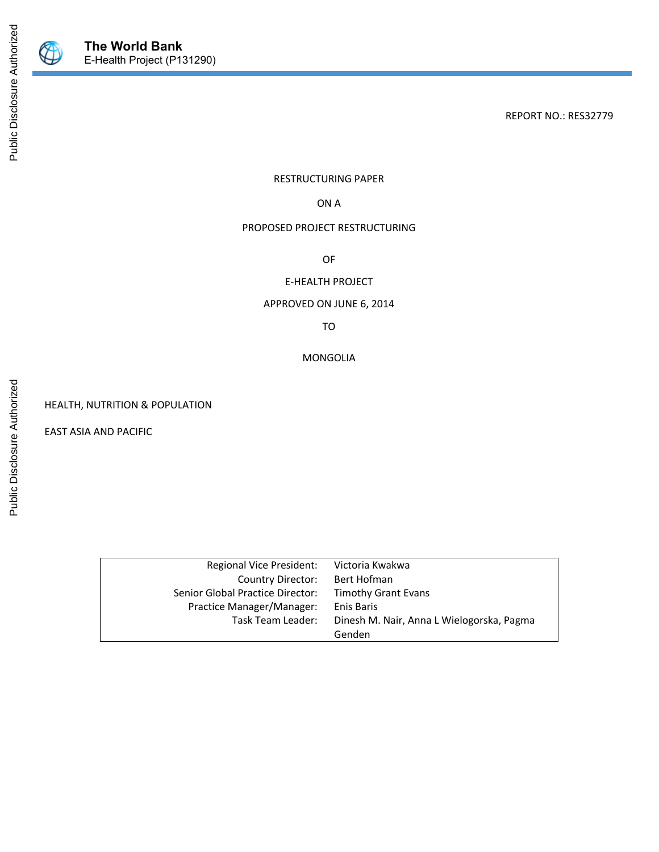

Public Disclosure Authorized

Public Disclosure Authorized

REPORT NO.: RES32779

RESTRUCTURING PAPER

ON A

#### PROPOSED PROJECT RESTRUCTURING

OF

### E-HEALTH PROJECT

### APPROVED ON JUNE 6, 2014

TO

MONGOLIA

HEALTH, NUTRITION & POPULATION

EAST ASIA AND PACIFIC

| Regional Vice President:         | Victoria Kwakwa                           |
|----------------------------------|-------------------------------------------|
| Country Director:                | Bert Hofman                               |
| Senior Global Practice Director: | <b>Timothy Grant Evans</b>                |
| Practice Manager/Manager:        | Enis Baris                                |
| Task Team Leader:                | Dinesh M. Nair, Anna L Wielogorska, Pagma |
|                                  | Genden                                    |
|                                  |                                           |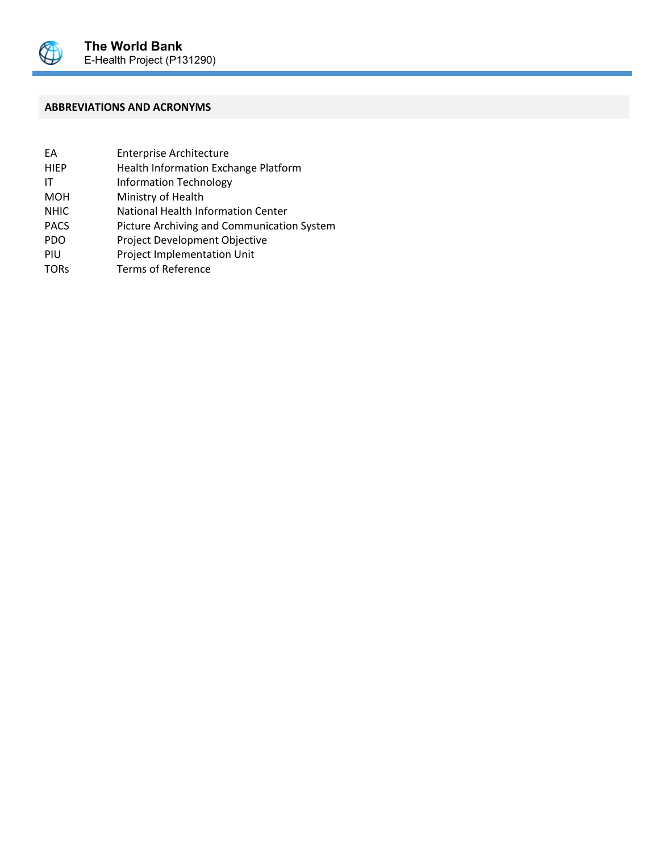

### **ABBREVIATIONS AND ACRONYMS**

| FA          | <b>Enterprise Architecture</b>             |
|-------------|--------------------------------------------|
| <b>HIEP</b> | Health Information Exchange Platform       |
| ΙT          | <b>Information Technology</b>              |
| <b>MOH</b>  | Ministry of Health                         |
| <b>NHIC</b> | National Health Information Center         |
| <b>PACS</b> | Picture Archiving and Communication System |
| <b>PDO</b>  | Project Development Objective              |
| PIU         | Project Implementation Unit                |
| <b>TORs</b> | <b>Terms of Reference</b>                  |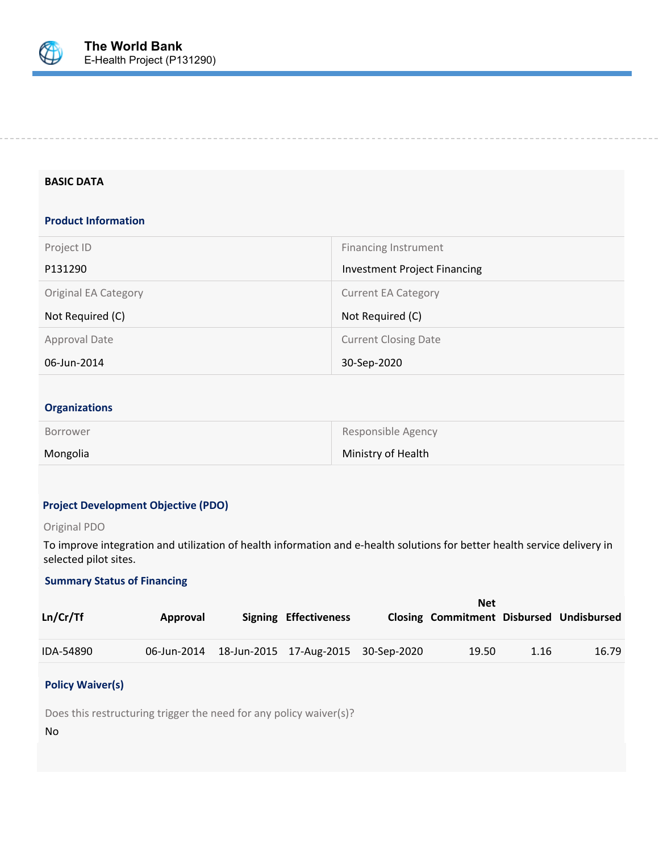

#### **BASIC DATA**

### **Product Information**

| Project ID                  | <b>Financing Instrument</b>         |
|-----------------------------|-------------------------------------|
| P131290                     | <b>Investment Project Financing</b> |
| <b>Original EA Category</b> | <b>Current EA Category</b>          |
|                             |                                     |
| Not Required (C)            | Not Required (C)                    |
| Approval Date               | <b>Current Closing Date</b>         |

#### **Organizations**

| Borrower | Responsible Agency |
|----------|--------------------|
| Mongolia | Ministry of Health |

#### **Project Development Objective (PDO)**

#### Original PDO

To improve integration and utilization of health information and e-health solutions for better health service delivery in selected pilot sites.

### **Summary Status of Financing**

|           |          |                                                 | <b>Net</b>                                      |      |       |
|-----------|----------|-------------------------------------------------|-------------------------------------------------|------|-------|
| Ln/Cr/Tf  | Approval | Signing Effectiveness                           | <b>Closing Commitment Disbursed Undisbursed</b> |      |       |
| IDA-54890 |          | 06-Jun-2014 18-Jun-2015 17-Aug-2015 30-Sep-2020 | 19.50                                           | 1.16 | 16.79 |

#### **Policy Waiver(s)**

Does this restructuring trigger the need for any policy waiver(s)?

No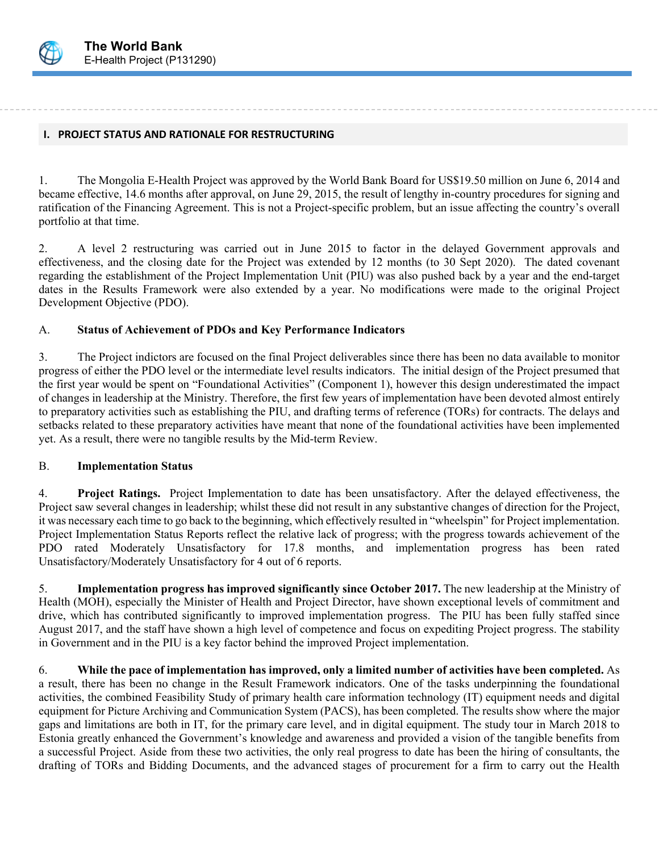

#### **I. PROJECT STATUS AND RATIONALE FOR RESTRUCTURING**

1. The Mongolia E-Health Project was approved by the World Bank Board for US\$19.50 million on June 6, 2014 and became effective, 14.6 months after approval, on June 29, 2015, the result of lengthy in-country procedures for signing and ratification of the Financing Agreement. This is not a Project-specific problem, but an issue affecting the country's overall portfolio at that time.

2. A level 2 restructuring was carried out in June 2015 to factor in the delayed Government approvals and effectiveness, and the closing date for the Project was extended by 12 months (to 30 Sept 2020). The dated covenant regarding the establishment of the Project Implementation Unit (PIU) was also pushed back by a year and the end-target dates in the Results Framework were also extended by a year. No modifications were made to the original Project Development Objective (PDO).

### A. **Status of Achievement of PDOs and Key Performance Indicators**

3. The Project indictors are focused on the final Project deliverables since there has been no data available to monitor progress of either the PDO level or the intermediate level results indicators. The initial design of the Project presumed that the first year would be spent on "Foundational Activities" (Component 1), however this design underestimated the impact of changes in leadership at the Ministry. Therefore, the first few years of implementation have been devoted almost entirely to preparatory activities such as establishing the PIU, and drafting terms of reference (TORs) for contracts. The delays and setbacks related to these preparatory activities have meant that none of the foundational activities have been implemented yet. As a result, there were no tangible results by the Mid-term Review.

## B. **Implementation Status**

4. **Project Ratings.** Project Implementation to date has been unsatisfactory. After the delayed effectiveness, the Project saw several changes in leadership; whilst these did not result in any substantive changes of direction for the Project, it was necessary each time to go back to the beginning, which effectively resulted in "wheelspin" for Project implementation. Project Implementation Status Reports reflect the relative lack of progress; with the progress towards achievement of the PDO rated Moderately Unsatisfactory for 17.8 months, and implementation progress has been rated Unsatisfactory/Moderately Unsatisfactory for 4 out of 6 reports.

5. **Implementation progress has improved significantly since October 2017.** The new leadership at the Ministry of Health (MOH), especially the Minister of Health and Project Director, have shown exceptional levels of commitment and drive, which has contributed significantly to improved implementation progress. The PIU has been fully staffed since August 2017, and the staff have shown a high level of competence and focus on expediting Project progress. The stability in Government and in the PIU is a key factor behind the improved Project implementation.

6. **While the pace of implementation has improved, only a limited number of activities have been completed.** As a result, there has been no change in the Result Framework indicators. One of the tasks underpinning the foundational activities, the combined Feasibility Study of primary health care information technology (IT) equipment needs and digital equipment for Picture Archiving and Communication System (PACS), has been completed. The results show where the major gaps and limitations are both in IT, for the primary care level, and in digital equipment. The study tour in March 2018 to Estonia greatly enhanced the Government's knowledge and awareness and provided a vision of the tangible benefits from a successful Project. Aside from these two activities, the only real progress to date has been the hiring of consultants, the drafting of TORs and Bidding Documents, and the advanced stages of procurement for a firm to carry out the Health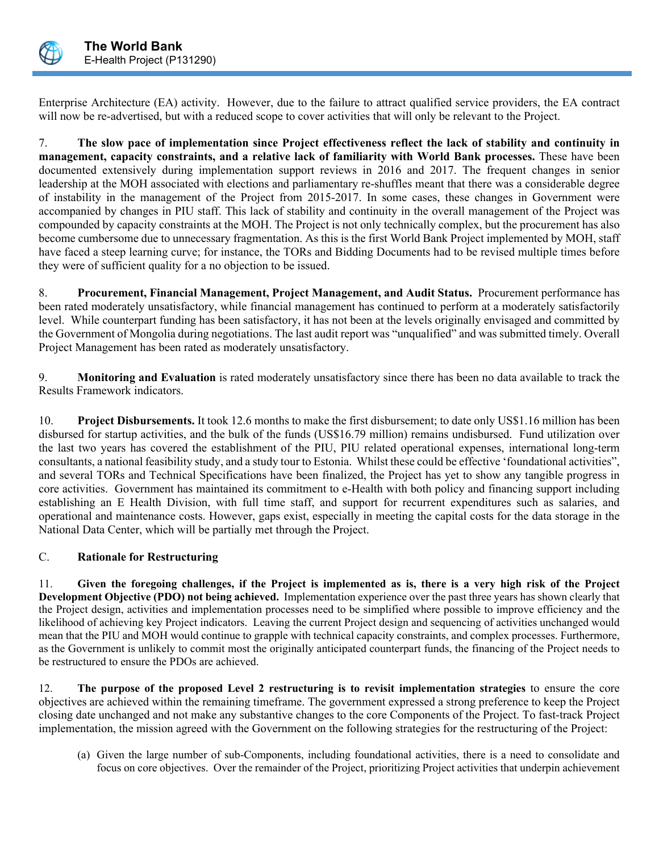

Enterprise Architecture (EA) activity. However, due to the failure to attract qualified service providers, the EA contract will now be re-advertised, but with a reduced scope to cover activities that will only be relevant to the Project.

7. **The slow pace of implementation since Project effectiveness reflect the lack of stability and continuity in management, capacity constraints, and a relative lack of familiarity with World Bank processes.** These have been documented extensively during implementation support reviews in 2016 and 2017. The frequent changes in senior leadership at the MOH associated with elections and parliamentary re-shuffles meant that there was a considerable degree of instability in the management of the Project from 2015-2017. In some cases, these changes in Government were accompanied by changes in PIU staff. This lack of stability and continuity in the overall management of the Project was compounded by capacity constraints at the MOH. The Project is not only technically complex, but the procurement has also become cumbersome due to unnecessary fragmentation. As this is the first World Bank Project implemented by MOH, staff have faced a steep learning curve; for instance, the TORs and Bidding Documents had to be revised multiple times before they were of sufficient quality for a no objection to be issued.

8. **Procurement, Financial Management, Project Management, and Audit Status.** Procurement performance has been rated moderately unsatisfactory, while financial management has continued to perform at a moderately satisfactorily level. While counterpart funding has been satisfactory, it has not been at the levels originally envisaged and committed by the Government of Mongolia during negotiations. The last audit report was "unqualified" and was submitted timely. Overall Project Management has been rated as moderately unsatisfactory.

9. **Monitoring and Evaluation** is rated moderately unsatisfactory since there has been no data available to track the Results Framework indicators.

10. **Project Disbursements.** It took 12.6 months to make the first disbursement; to date only US\$1.16 million has been disbursed for startup activities, and the bulk of the funds (US\$16.79 million) remains undisbursed. Fund utilization over the last two years has covered the establishment of the PIU, PIU related operational expenses, international long-term consultants, a national feasibility study, and a study tour to Estonia. Whilst these could be effective 'foundational activities", and several TORs and Technical Specifications have been finalized, the Project has yet to show any tangible progress in core activities. Government has maintained its commitment to e-Health with both policy and financing support including establishing an E Health Division, with full time staff, and support for recurrent expenditures such as salaries, and operational and maintenance costs. However, gaps exist, especially in meeting the capital costs for the data storage in the National Data Center, which will be partially met through the Project.

# C. **Rationale for Restructuring**

11. **Given the foregoing challenges, if the Project is implemented as is, there is a very high risk of the Project Development Objective (PDO) not being achieved.** Implementation experience over the past three years has shown clearly that the Project design, activities and implementation processes need to be simplified where possible to improve efficiency and the likelihood of achieving key Project indicators. Leaving the current Project design and sequencing of activities unchanged would mean that the PIU and MOH would continue to grapple with technical capacity constraints, and complex processes. Furthermore, as the Government is unlikely to commit most the originally anticipated counterpart funds, the financing of the Project needs to be restructured to ensure the PDOs are achieved.

12. **The purpose of the proposed Level 2 restructuring is to revisit implementation strategies** to ensure the core objectives are achieved within the remaining timeframe. The government expressed a strong preference to keep the Project closing date unchanged and not make any substantive changes to the core Components of the Project. To fast-track Project implementation, the mission agreed with the Government on the following strategies for the restructuring of the Project:

(a) Given the large number of sub-Components, including foundational activities, there is a need to consolidate and focus on core objectives. Over the remainder of the Project, prioritizing Project activities that underpin achievement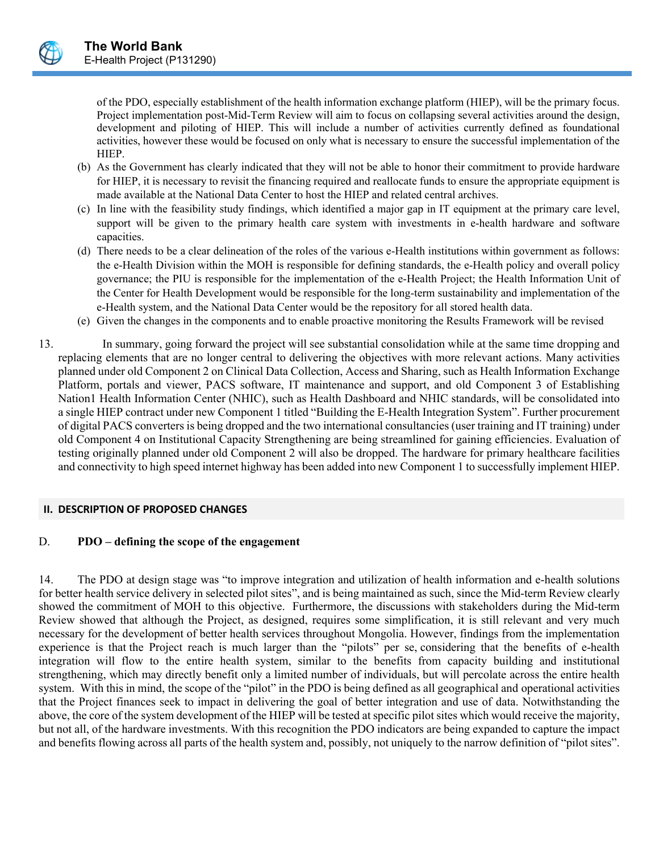

of the PDO, especially establishment of the health information exchange platform (HIEP), will be the primary focus. Project implementation post-Mid-Term Review will aim to focus on collapsing several activities around the design, development and piloting of HIEP. This will include a number of activities currently defined as foundational activities, however these would be focused on only what is necessary to ensure the successful implementation of the HIEP.

- (b) As the Government has clearly indicated that they will not be able to honor their commitment to provide hardware for HIEP, it is necessary to revisit the financing required and reallocate funds to ensure the appropriate equipment is made available at the National Data Center to host the HIEP and related central archives.
- (c) In line with the feasibility study findings, which identified a major gap in IT equipment at the primary care level, support will be given to the primary health care system with investments in e-health hardware and software capacities.
- (d) There needs to be a clear delineation of the roles of the various e-Health institutions within government as follows: the e-Health Division within the MOH is responsible for defining standards, the e-Health policy and overall policy governance; the PIU is responsible for the implementation of the e-Health Project; the Health Information Unit of the Center for Health Development would be responsible for the long-term sustainability and implementation of the e-Health system, and the National Data Center would be the repository for all stored health data.
- (e) Given the changes in the components and to enable proactive monitoring the Results Framework will be revised
- 13. In summary, going forward the project will see substantial consolidation while at the same time dropping and replacing elements that are no longer central to delivering the objectives with more relevant actions. Many activities planned under old Component 2 on Clinical Data Collection, Access and Sharing, such as Health Information Exchange Platform, portals and viewer, PACS software, IT maintenance and support, and old Component 3 of Establishing Nation1 Health Information Center (NHIC), such as Health Dashboard and NHIC standards, will be consolidated into a single HIEP contract under new Component 1 titled "Building the E-Health Integration System". Further procurement of digital PACS converters is being dropped and the two international consultancies (user training and IT training) under old Component 4 on Institutional Capacity Strengthening are being streamlined for gaining efficiencies. Evaluation of testing originally planned under old Component 2 will also be dropped. The hardware for primary healthcare facilities and connectivity to high speed internet highway has been added into new Component 1 to successfully implement HIEP.

#### **II. DESCRIPTION OF PROPOSED CHANGES**

## D. **PDO – defining the scope of the engagement**

14. The PDO at design stage was "to improve integration and utilization of health information and e-health solutions for better health service delivery in selected pilot sites", and is being maintained as such, since the Mid-term Review clearly showed the commitment of MOH to this objective. Furthermore, the discussions with stakeholders during the Mid-term Review showed that although the Project, as designed, requires some simplification, it is still relevant and very much necessary for the development of better health services throughout Mongolia. However, findings from the implementation experience is that the Project reach is much larger than the "pilots" per se, considering that the benefits of e-health integration will flow to the entire health system, similar to the benefits from capacity building and institutional strengthening, which may directly benefit only a limited number of individuals, but will percolate across the entire health system. With this in mind, the scope of the "pilot" in the PDO is being defined as all geographical and operational activities that the Project finances seek to impact in delivering the goal of better integration and use of data. Notwithstanding the above, the core of the system development of the HIEP will be tested at specific pilot sites which would receive the majority, but not all, of the hardware investments. With this recognition the PDO indicators are being expanded to capture the impact and benefits flowing across all parts of the health system and, possibly, not uniquely to the narrow definition of "pilot sites".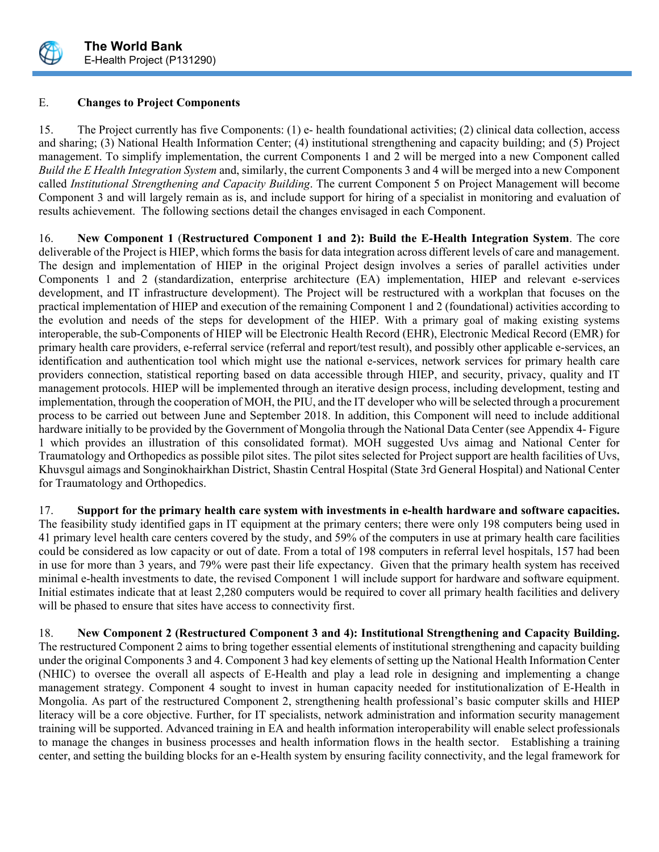

### E. **Changes to Project Components**

15. The Project currently has five Components: (1) e- health foundational activities; (2) clinical data collection, access and sharing; (3) National Health Information Center; (4) institutional strengthening and capacity building; and (5) Project management. To simplify implementation, the current Components 1 and 2 will be merged into a new Component called *Build the E Health Integration System* and, similarly, the current Components 3 and 4 will be merged into a new Component called *Institutional Strengthening and Capacity Building*. The current Component 5 on Project Management will become Component 3 and will largely remain as is, and include support for hiring of a specialist in monitoring and evaluation of results achievement. The following sections detail the changes envisaged in each Component.

16. **New Component 1** (**Restructured Component 1 and 2): Build the E-Health Integration System**. The core deliverable of the Project is HIEP, which forms the basis for data integration across different levels of care and management. The design and implementation of HIEP in the original Project design involves a series of parallel activities under Components 1 and 2 (standardization, enterprise architecture (EA) implementation, HIEP and relevant e-services development, and IT infrastructure development). The Project will be restructured with a workplan that focuses on the practical implementation of HIEP and execution of the remaining Component 1 and 2 (foundational) activities according to the evolution and needs of the steps for development of the HIEP. With a primary goal of making existing systems interoperable, the sub-Components of HIEP will be Electronic Health Record (EHR), Electronic Medical Record (EMR) for primary health care providers, e-referral service (referral and report/test result), and possibly other applicable e-services, an identification and authentication tool which might use the national e-services, network services for primary health care providers connection, statistical reporting based on data accessible through HIEP, and security, privacy, quality and IT management protocols. HIEP will be implemented through an iterative design process, including development, testing and implementation, through the cooperation of MOH, the PIU, and the IT developer who will be selected through a procurement process to be carried out between June and September 2018. In addition, this Component will need to include additional hardware initially to be provided by the Government of Mongolia through the National Data Center (see Appendix 4- Figure 1 which provides an illustration of this consolidated format). MOH suggested Uvs aimag and National Center for Traumatology and Orthopedics as possible pilot sites. The pilot sites selected for Project support are health facilities of Uvs, Khuvsgul aimags and Songinokhairkhan District, Shastin Central Hospital (State 3rd General Hospital) and National Center for Traumatology and Orthopedics.

17. **Support for the primary health care system with investments in e-health hardware and software capacities.**  The feasibility study identified gaps in IT equipment at the primary centers; there were only 198 computers being used in 41 primary level health care centers covered by the study, and 59% of the computers in use at primary health care facilities could be considered as low capacity or out of date. From a total of 198 computers in referral level hospitals, 157 had been in use for more than 3 years, and 79% were past their life expectancy. Given that the primary health system has received minimal e-health investments to date, the revised Component 1 will include support for hardware and software equipment. Initial estimates indicate that at least 2,280 computers would be required to cover all primary health facilities and delivery will be phased to ensure that sites have access to connectivity first.

18. **New Component 2 (Restructured Component 3 and 4): Institutional Strengthening and Capacity Building.** The restructured Component 2 aims to bring together essential elements of institutional strengthening and capacity building under the original Components 3 and 4. Component 3 had key elements of setting up the National Health Information Center (NHIC) to oversee the overall all aspects of E-Health and play a lead role in designing and implementing a change management strategy. Component 4 sought to invest in human capacity needed for institutionalization of E-Health in Mongolia. As part of the restructured Component 2, strengthening health professional's basic computer skills and HIEP literacy will be a core objective. Further, for IT specialists, network administration and information security management training will be supported. Advanced training in EA and health information interoperability will enable select professionals to manage the changes in business processes and health information flows in the health sector. Establishing a training center, and setting the building blocks for an e-Health system by ensuring facility connectivity, and the legal framework for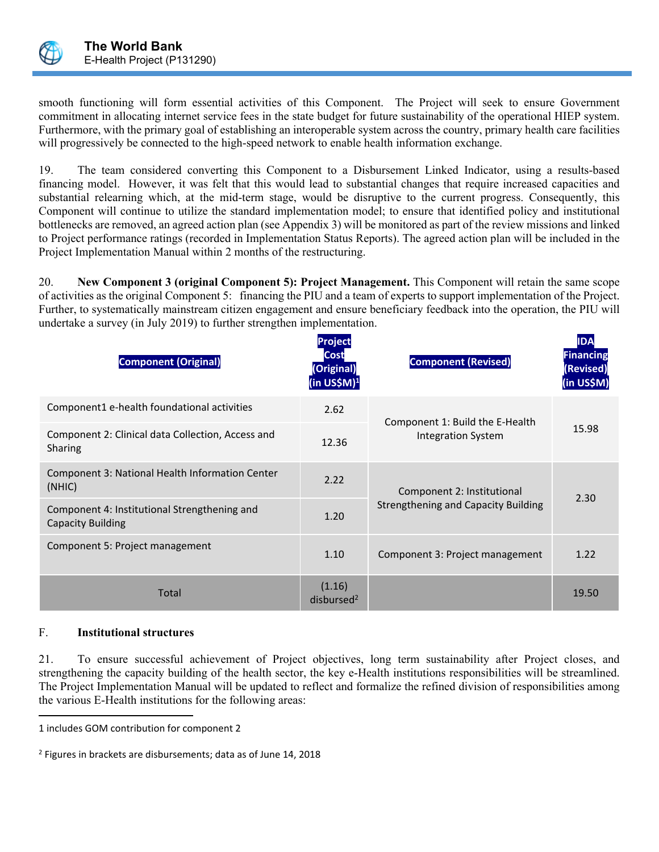

smooth functioning will form essential activities of this Component. The Project will seek to ensure Government commitment in allocating internet service fees in the state budget for future sustainability of the operational HIEP system. Furthermore, with the primary goal of establishing an interoperable system across the country, primary health care facilities will progressively be connected to the high-speed network to enable health information exchange.

19. The team considered converting this Component to a Disbursement Linked Indicator, using a results-based financing model. However, it was felt that this would lead to substantial changes that require increased capacities and substantial relearning which, at the mid-term stage, would be disruptive to the current progress. Consequently, this Component will continue to utilize the standard implementation model; to ensure that identified policy and institutional bottlenecks are removed, an agreed action plan (see Appendix 3) will be monitored as part of the review missions and linked to Project performance ratings (recorded in Implementation Status Reports). The agreed action plan will be included in the Project Implementation Manual within 2 months of the restructuring.

20. **New Component 3 (original Component 5): Project Management.** This Component will retain the same scope of activities as the original Component 5: financing the PIU and a team of experts to support implementation of the Project. Further, to systematically mainstream citizen engagement and ensure beneficiary feedback into the operation, the PIU will undertake a survey (in July 2019) to further strengthen implementation.

| <b>Component (Original)</b>                                              | Project<br><b>Cost</b><br>(Original)<br>(in US\$M) <sup>1</sup> | <b>Component (Revised)</b>                 | <b>IDA</b><br><b>Financing</b><br>(Revised)<br>(in US\$M) |
|--------------------------------------------------------------------------|-----------------------------------------------------------------|--------------------------------------------|-----------------------------------------------------------|
| Component1 e-health foundational activities                              | 2.62                                                            | Component 1: Build the E-Health            |                                                           |
| Component 2: Clinical data Collection, Access and<br>Sharing             | 12.36                                                           | <b>Integration System</b>                  | 15.98                                                     |
| Component 3: National Health Information Center<br>(NHIC)                | 2.22                                                            | Component 2: Institutional                 | 2.30                                                      |
| Component 4: Institutional Strengthening and<br><b>Capacity Building</b> | 1.20                                                            | <b>Strengthening and Capacity Building</b> |                                                           |
| Component 5: Project management                                          | 1.10                                                            | Component 3: Project management            | 1.22                                                      |
| Total                                                                    | (1.16)<br>disbursed <sup>2</sup>                                |                                            | 19.50                                                     |

#### F. **Institutional structures**

21. To ensure successful achievement of Project objectives, long term sustainability after Project closes, and strengthening the capacity building of the health sector, the key e-Health institutions responsibilities will be streamlined. The Project Implementation Manual will be updated to reflect and formalize the refined division of responsibilities among the various E-Health institutions for the following areas:

<sup>1</sup> includes GOM contribution for component 2

<sup>2</sup> Figures in brackets are disbursements; data as of June 14, 2018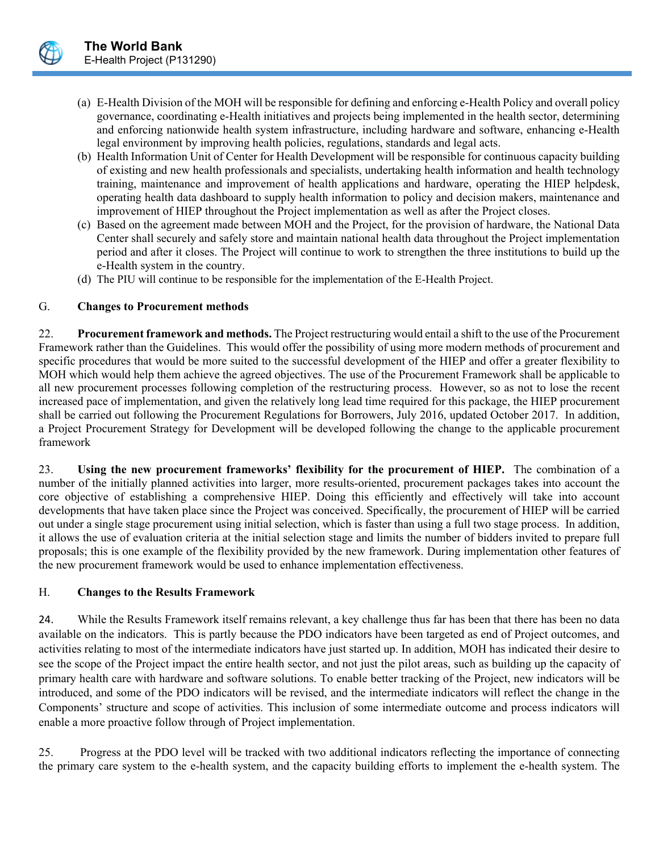- (a) E-Health Division of the MOH will be responsible for defining and enforcing e-Health Policy and overall policy governance, coordinating e-Health initiatives and projects being implemented in the health sector, determining and enforcing nationwide health system infrastructure, including hardware and software, enhancing e-Health legal environment by improving health policies, regulations, standards and legal acts.
- (b) Health Information Unit of Center for Health Development will be responsible for continuous capacity building of existing and new health professionals and specialists, undertaking health information and health technology training, maintenance and improvement of health applications and hardware, operating the HIEP helpdesk, operating health data dashboard to supply health information to policy and decision makers, maintenance and improvement of HIEP throughout the Project implementation as well as after the Project closes.
- (c) Based on the agreement made between MOH and the Project, for the provision of hardware, the National Data Center shall securely and safely store and maintain national health data throughout the Project implementation period and after it closes. The Project will continue to work to strengthen the three institutions to build up the e-Health system in the country.
- (d) The PIU will continue to be responsible for the implementation of the E-Health Project.

## G. **Changes to Procurement methods**

22. **Procurement framework and methods.** The Project restructuring would entail a shift to the use of the Procurement Framework rather than the Guidelines. This would offer the possibility of using more modern methods of procurement and specific procedures that would be more suited to the successful development of the HIEP and offer a greater flexibility to MOH which would help them achieve the agreed objectives. The use of the Procurement Framework shall be applicable to all new procurement processes following completion of the restructuring process. However, so as not to lose the recent increased pace of implementation, and given the relatively long lead time required for this package, the HIEP procurement shall be carried out following the Procurement Regulations for Borrowers, July 2016, updated October 2017. In addition, a Project Procurement Strategy for Development will be developed following the change to the applicable procurement framework

23. **Using the new procurement frameworks' flexibility for the procurement of HIEP.** The combination of a number of the initially planned activities into larger, more results-oriented, procurement packages takes into account the core objective of establishing a comprehensive HIEP. Doing this efficiently and effectively will take into account developments that have taken place since the Project was conceived. Specifically, the procurement of HIEP will be carried out under a single stage procurement using initial selection, which is faster than using a full two stage process. In addition, it allows the use of evaluation criteria at the initial selection stage and limits the number of bidders invited to prepare full proposals; this is one example of the flexibility provided by the new framework. During implementation other features of the new procurement framework would be used to enhance implementation effectiveness.

## H. **Changes to the Results Framework**

24. While the Results Framework itself remains relevant, a key challenge thus far has been that there has been no data available on the indicators. This is partly because the PDO indicators have been targeted as end of Project outcomes, and activities relating to most of the intermediate indicators have just started up. In addition, MOH has indicated their desire to see the scope of the Project impact the entire health sector, and not just the pilot areas, such as building up the capacity of primary health care with hardware and software solutions. To enable better tracking of the Project, new indicators will be introduced, and some of the PDO indicators will be revised, and the intermediate indicators will reflect the change in the Components' structure and scope of activities. This inclusion of some intermediate outcome and process indicators will enable a more proactive follow through of Project implementation.

25. Progress at the PDO level will be tracked with two additional indicators reflecting the importance of connecting the primary care system to the e-health system, and the capacity building efforts to implement the e-health system. The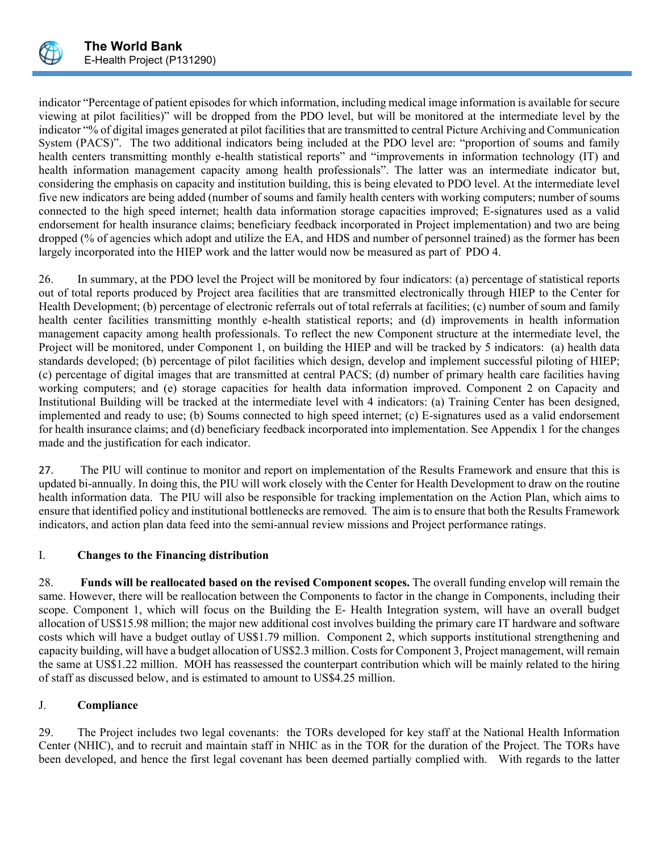

indicator "Percentage of patient episodes for which information, including medical image information is available for secure viewing at pilot facilities)" will be dropped from the PDO level, but will be monitored at the intermediate level by the indicator "% of digital images generated at pilot facilities that are transmitted to central Picture Archiving and Communication System (PACS)". The two additional indicators being included at the PDO level are: "proportion of soums and family health centers transmitting monthly e-health statistical reports" and "improvements in information technology (IT) and health information management capacity among health professionals". The latter was an intermediate indicator but, considering the emphasis on capacity and institution building, this is being elevated to PDO level. At the intermediate level five new indicators are being added (number of soums and family health centers with working computers; number of soums connected to the high speed internet; health data information storage capacities improved; E-signatures used as a valid endorsement for health insurance claims; beneficiary feedback incorporated in Project implementation) and two are being dropped (% of agencies which adopt and utilize the EA, and HDS and number of personnel trained) as the former has been largely incorporated into the HIEP work and the latter would now be measured as part of PDO 4.

26. In summary, at the PDO level the Project will be monitored by four indicators: (a) percentage of statistical reports out of total reports produced by Project area facilities that are transmitted electronically through HIEP to the Center for Health Development; (b) percentage of electronic referrals out of total referrals at facilities; (c) number of soum and family health center facilities transmitting monthly e-health statistical reports; and (d) improvements in health information management capacity among health professionals. To reflect the new Component structure at the intermediate level, the Project will be monitored, under Component 1, on building the HIEP and will be tracked by 5 indicators: (a) health data standards developed; (b) percentage of pilot facilities which design, develop and implement successful piloting of HIEP; (c) percentage of digital images that are transmitted at central PACS; (d) number of primary health care facilities having working computers; and (e) storage capacities for health data information improved. Component 2 on Capacity and Institutional Building will be tracked at the intermediate level with 4 indicators: (a) Training Center has been designed, implemented and ready to use; (b) Soums connected to high speed internet; (c) E-signatures used as a valid endorsement for health insurance claims; and (d) beneficiary feedback incorporated into implementation. See Appendix 1 for the changes made and the justification for each indicator.

27. The PIU will continue to monitor and report on implementation of the Results Framework and ensure that this is updated bi-annually. In doing this, the PIU will work closely with the Center for Health Development to draw on the routine health information data. The PIU will also be responsible for tracking implementation on the Action Plan, which aims to ensure that identified policy and institutional bottlenecks are removed. The aim is to ensure that both the Results Framework indicators, and action plan data feed into the semi-annual review missions and Project performance ratings.

## I. **Changes to the Financing distribution**

28. **Funds will be reallocated based on the revised Component scopes.** The overall funding envelop will remain the same. However, there will be reallocation between the Components to factor in the change in Components, including their scope. Component 1, which will focus on the Building the E- Health Integration system, will have an overall budget allocation of US\$15.98 million; the major new additional cost involves building the primary care IT hardware and software costs which will have a budget outlay of US\$1.79 million. Component 2, which supports institutional strengthening and capacity building, will have a budget allocation of US\$2.3 million. Costs for Component 3, Project management, will remain the same at US\$1.22 million. MOH has reassessed the counterpart contribution which will be mainly related to the hiring of staff as discussed below, and is estimated to amount to US\$4.25 million.

## J. **Compliance**

29. The Project includes two legal covenants: the TORs developed for key staff at the National Health Information Center (NHIC), and to recruit and maintain staff in NHIC as in the TOR for the duration of the Project. The TORs have been developed, and hence the first legal covenant has been deemed partially complied with. With regards to the latter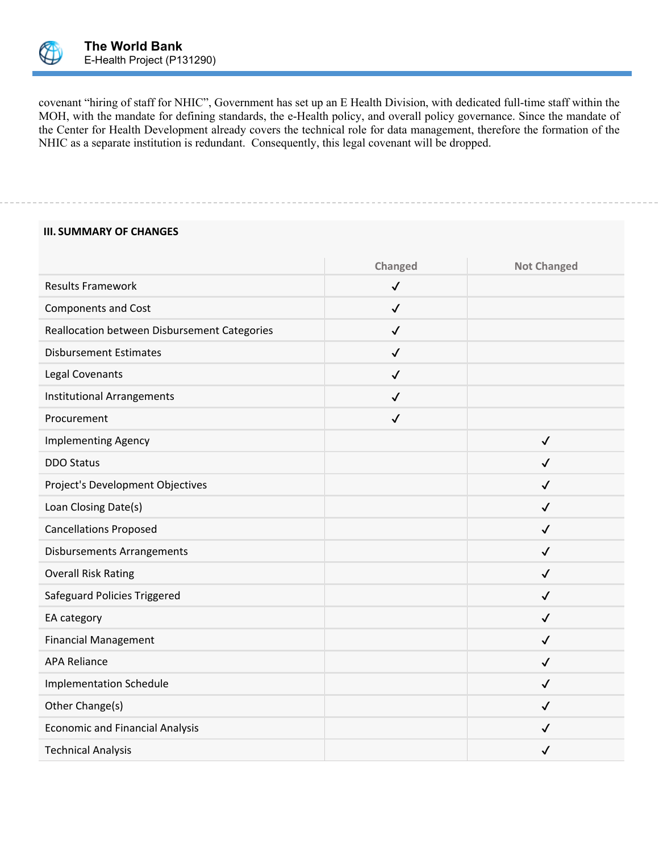

covenant "hiring of staff for NHIC", Government has set up an E Health Division, with dedicated full-time staff within the MOH, with the mandate for defining standards, the e-Health policy, and overall policy governance. Since the mandate of the Center for Health Development already covers the technical role for data management, therefore the formation of the NHIC as a separate institution is redundant. Consequently, this legal covenant will be dropped.

#### **III. SUMMARY OF CHANGES**

|                                              | Changed      | <b>Not Changed</b> |
|----------------------------------------------|--------------|--------------------|
| <b>Results Framework</b>                     | $\checkmark$ |                    |
| <b>Components and Cost</b>                   | $\checkmark$ |                    |
| Reallocation between Disbursement Categories | $\checkmark$ |                    |
| <b>Disbursement Estimates</b>                | $\checkmark$ |                    |
| Legal Covenants                              | $\checkmark$ |                    |
| <b>Institutional Arrangements</b>            | $\checkmark$ |                    |
| Procurement                                  | $\checkmark$ |                    |
| <b>Implementing Agency</b>                   |              | $\checkmark$       |
| <b>DDO Status</b>                            |              | $\checkmark$       |
| Project's Development Objectives             |              | $\checkmark$       |
| Loan Closing Date(s)                         |              | $\checkmark$       |
| <b>Cancellations Proposed</b>                |              | $\checkmark$       |
| <b>Disbursements Arrangements</b>            |              | $\checkmark$       |
| <b>Overall Risk Rating</b>                   |              | $\checkmark$       |
| Safeguard Policies Triggered                 |              | $\checkmark$       |
| EA category                                  |              | $\checkmark$       |
| <b>Financial Management</b>                  |              | $\checkmark$       |
| <b>APA Reliance</b>                          |              | $\checkmark$       |
| <b>Implementation Schedule</b>               |              | $\checkmark$       |
| Other Change(s)                              |              | $\checkmark$       |
| <b>Economic and Financial Analysis</b>       |              | $\checkmark$       |
| <b>Technical Analysis</b>                    |              | $\checkmark$       |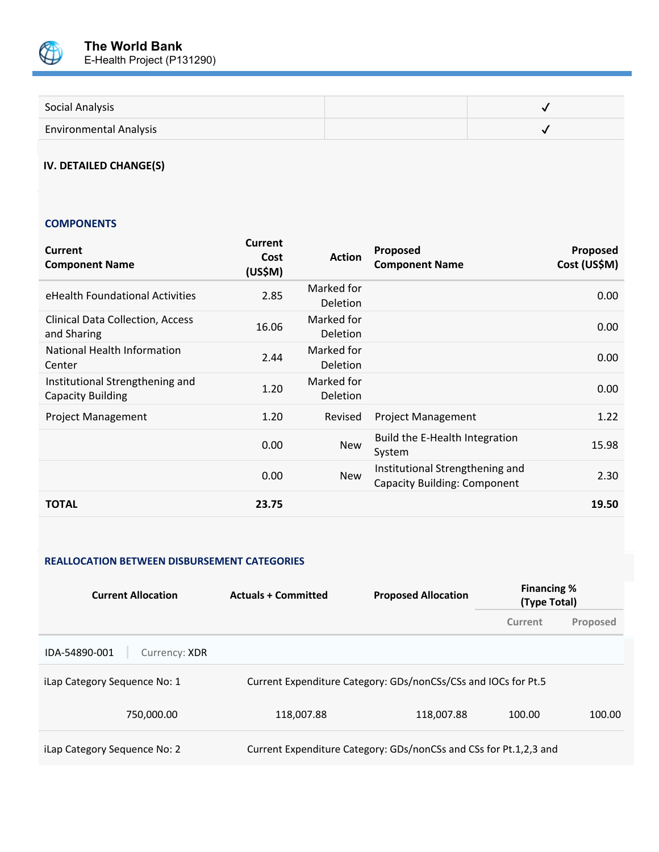

| Social Analysis               |  |
|-------------------------------|--|
| <b>Environmental Analysis</b> |  |

## **IV. DETAILED CHANGE(S)**

#### **COMPONENTS**

| <b>Current</b><br><b>Component Name</b>                     | <b>Current</b><br>Cost<br>(US\$M) | <b>Action</b>          | Proposed<br><b>Component Name</b>                                      | Proposed<br>Cost (US\$M) |
|-------------------------------------------------------------|-----------------------------------|------------------------|------------------------------------------------------------------------|--------------------------|
| eHealth Foundational Activities                             | 2.85                              | Marked for<br>Deletion |                                                                        | 0.00                     |
| <b>Clinical Data Collection, Access</b><br>and Sharing      | 16.06                             | Marked for<br>Deletion |                                                                        | 0.00                     |
| National Health Information<br>Center                       | 2.44                              | Marked for<br>Deletion |                                                                        | 0.00                     |
| Institutional Strengthening and<br><b>Capacity Building</b> | 1.20                              | Marked for<br>Deletion |                                                                        | 0.00                     |
| <b>Project Management</b>                                   | 1.20                              | Revised                | <b>Project Management</b>                                              | 1.22                     |
|                                                             | 0.00                              | <b>New</b>             | Build the E-Health Integration<br>System                               | 15.98                    |
|                                                             | 0.00                              | <b>New</b>             | Institutional Strengthening and<br><b>Capacity Building: Component</b> | 2.30                     |
| <b>TOTAL</b>                                                | 23.75                             |                        |                                                                        | 19.50                    |

#### **REALLOCATION BETWEEN DISBURSEMENT CATEGORIES**

| <b>Current Allocation</b>      | <b>Proposed Allocation</b><br><b>Actuals + Committed</b> |                                                                   | <b>Financing %</b><br>(Type Total) |          |
|--------------------------------|----------------------------------------------------------|-------------------------------------------------------------------|------------------------------------|----------|
|                                |                                                          |                                                                   | Current                            | Proposed |
| IDA-54890-001<br>Currency: XDR |                                                          |                                                                   |                                    |          |
| iLap Category Sequence No: 1   |                                                          | Current Expenditure Category: GDs/nonCSs/CSs and IOCs for Pt.5    |                                    |          |
| 750,000.00                     | 118,007.88                                               | 118,007.88                                                        | 100.00                             | 100.00   |
| iLap Category Sequence No: 2   |                                                          | Current Expenditure Category: GDs/nonCSs and CSs for Pt.1,2,3 and |                                    |          |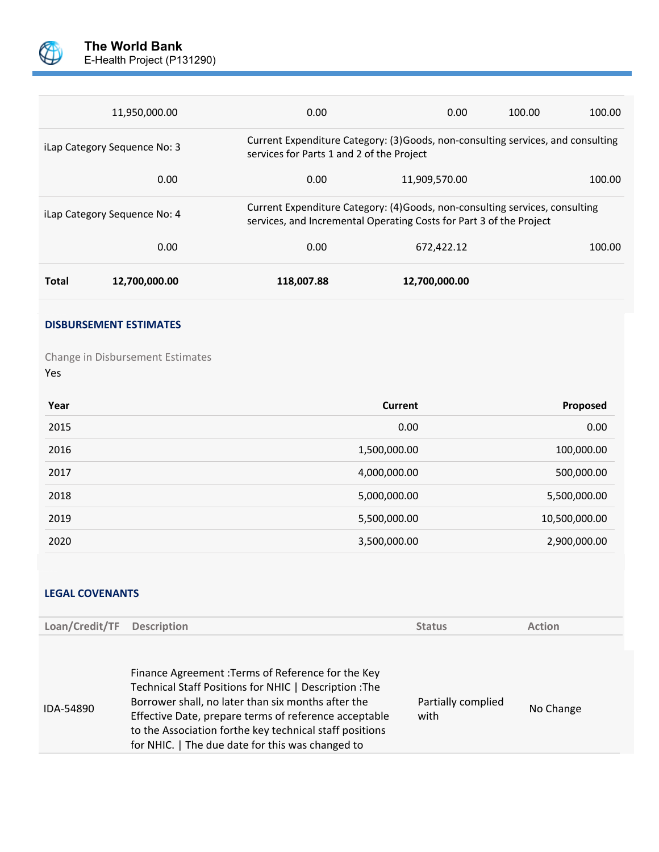

| iLap Category Sequence No: 4 |      | Current Expenditure Category: (4) Goods, non-consulting services, consulting<br>services, and Incremental Operating Costs for Part 3 of the Project |        |
|------------------------------|------|-----------------------------------------------------------------------------------------------------------------------------------------------------|--------|
| 0.00                         | 0.00 | 672,422.12                                                                                                                                          | 100.00 |
|                              |      |                                                                                                                                                     |        |

#### **DISBURSEMENT ESTIMATES**

Change in Disbursement Estimates Yes

| Year | <b>Current</b> | Proposed      |
|------|----------------|---------------|
| 2015 | 0.00           | 0.00          |
| 2016 | 1,500,000.00   | 100,000.00    |
| 2017 | 4,000,000.00   | 500,000.00    |
| 2018 | 5,000,000.00   | 5,500,000.00  |
| 2019 | 5,500,000.00   | 10,500,000.00 |
| 2020 | 3,500,000.00   | 2,900,000.00  |

## **LEGAL COVENANTS**

| Loan/Credit/TF | <b>Description</b>                                                                                                                                                                                                                                                                                                                         | <b>Status</b>              | <b>Action</b> |
|----------------|--------------------------------------------------------------------------------------------------------------------------------------------------------------------------------------------------------------------------------------------------------------------------------------------------------------------------------------------|----------------------------|---------------|
|                |                                                                                                                                                                                                                                                                                                                                            |                            |               |
| IDA-54890      | Finance Agreement : Terms of Reference for the Key<br>Technical Staff Positions for NHIC   Description : The<br>Borrower shall, no later than six months after the<br>Effective Date, prepare terms of reference acceptable<br>to the Association forthe key technical staff positions<br>for NHIC.   The due date for this was changed to | Partially complied<br>with | No Change     |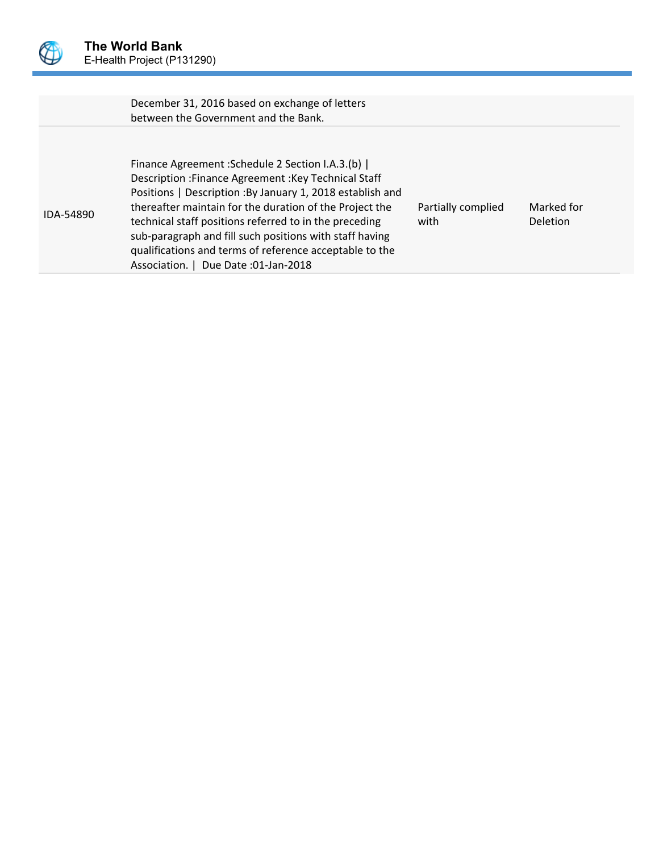

|           | December 31, 2016 based on exchange of letters<br>between the Government and the Bank.                                                                                                                                                                                                                                                                                                                                                                       |                            |                               |
|-----------|--------------------------------------------------------------------------------------------------------------------------------------------------------------------------------------------------------------------------------------------------------------------------------------------------------------------------------------------------------------------------------------------------------------------------------------------------------------|----------------------------|-------------------------------|
| IDA-54890 | Finance Agreement : Schedule 2 Section I.A.3.(b)  <br>Description : Finance Agreement : Key Technical Staff<br>Positions   Description : By January 1, 2018 establish and<br>thereafter maintain for the duration of the Project the<br>technical staff positions referred to in the preceding<br>sub-paragraph and fill such positions with staff having<br>qualifications and terms of reference acceptable to the<br>Association.   Due Date :01-Jan-2018 | Partially complied<br>with | Marked for<br><b>Deletion</b> |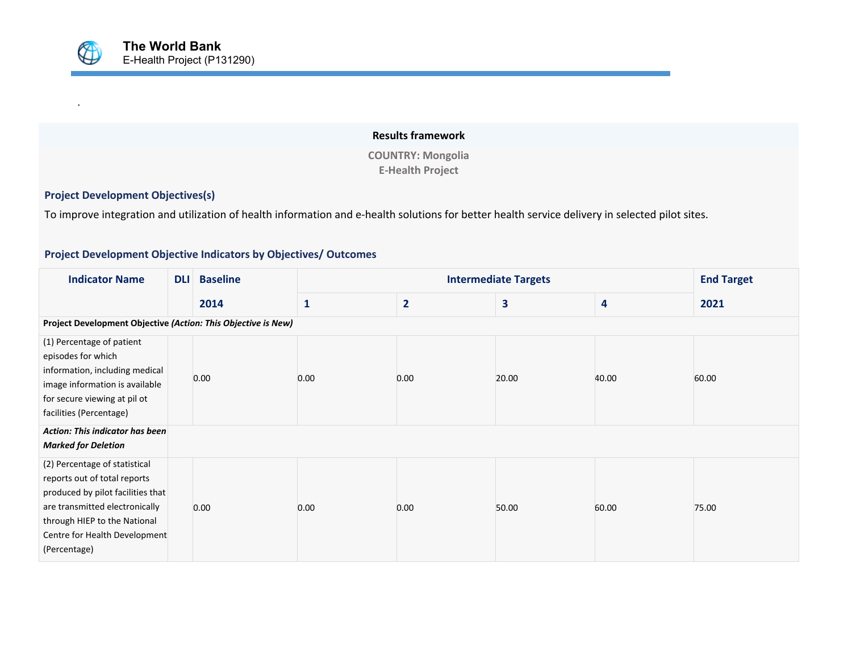# **Results framework COUNTRY: Mongolia E-Health Project**

# **Project Development Objectives(s)**

.

To improve integration and utilization of health information and e-health solutions for better health service delivery in selected pilot sites.

### **Project Development Objective Indicators by Objectives/ Outcomes**

| <b>Indicator Name</b>                                                                                                                                                                                                 | <b>DLI</b> | <b>Baseline</b> |              |                | <b>End Target</b> |       |       |
|-----------------------------------------------------------------------------------------------------------------------------------------------------------------------------------------------------------------------|------------|-----------------|--------------|----------------|-------------------|-------|-------|
|                                                                                                                                                                                                                       |            | 2014            | $\mathbf{1}$ | $\overline{2}$ | 3                 | 4     | 2021  |
| Project Development Objective (Action: This Objective is New)                                                                                                                                                         |            |                 |              |                |                   |       |       |
| (1) Percentage of patient<br>episodes for which<br>information, including medical<br>image information is available<br>for secure viewing at pil ot<br>facilities (Percentage)                                        |            | 0.00            | 0.00         | 0.00           | 20.00             | 40.00 | 60.00 |
| Action: This indicator has been<br><b>Marked for Deletion</b>                                                                                                                                                         |            |                 |              |                |                   |       |       |
| (2) Percentage of statistical<br>reports out of total reports<br>produced by pilot facilities that<br>are transmitted electronically<br>through HIEP to the National<br>Centre for Health Development<br>(Percentage) |            | 0.00            | 0.00         | 0.00           | 50.00             | 60.00 | 75.00 |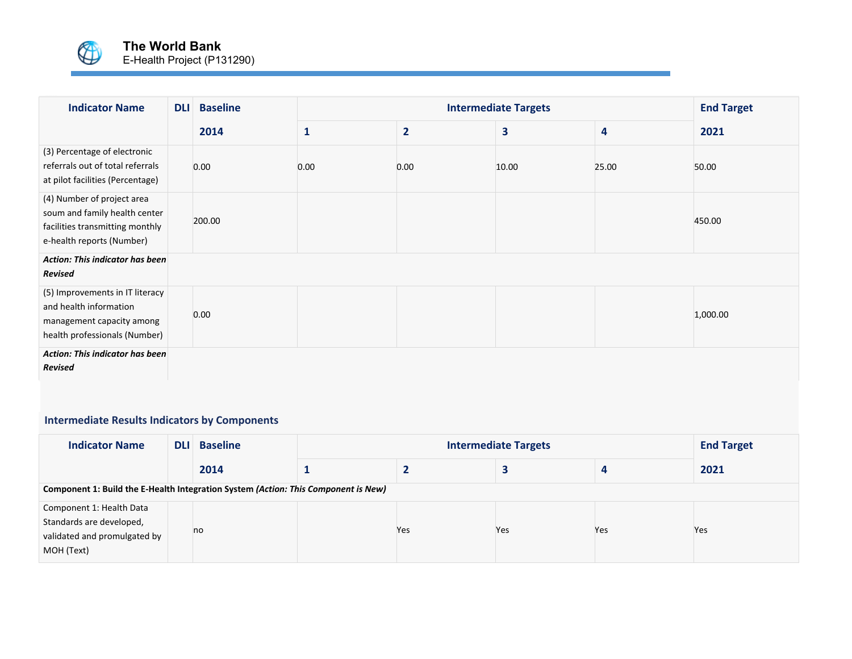

| <b>Indicator Name</b>                                                                                                       | <b>DLI</b> | <b>Baseline</b> |              | <b>Intermediate Targets</b> |       |       |          |  |  |
|-----------------------------------------------------------------------------------------------------------------------------|------------|-----------------|--------------|-----------------------------|-------|-------|----------|--|--|
|                                                                                                                             |            | 2014            | $\mathbf{1}$ | $\overline{2}$              | 3     | 4     | 2021     |  |  |
| (3) Percentage of electronic<br>referrals out of total referrals<br>at pilot facilities (Percentage)                        |            | 0.00            | 0.00         | 0.00                        | 10.00 | 25.00 | 50.00    |  |  |
| (4) Number of project area<br>soum and family health center<br>facilities transmitting monthly<br>e-health reports (Number) |            | 200.00          |              |                             |       |       | 450.00   |  |  |
| <b>Action: This indicator has been</b><br>Revised                                                                           |            |                 |              |                             |       |       |          |  |  |
| (5) Improvements in IT literacy<br>and health information<br>management capacity among<br>health professionals (Number)     |            | 0.00            |              |                             |       |       | 1,000.00 |  |  |
| Action: This indicator has been<br>Revised                                                                                  |            |                 |              |                             |       |       |          |  |  |

# **Intermediate Results Indicators by Components**

| <b>Indicator Name</b>                                                                              | <b>DLI</b> | <b>Baseline</b> |  | <b>End Target</b> |     |     |      |  |  |
|----------------------------------------------------------------------------------------------------|------------|-----------------|--|-------------------|-----|-----|------|--|--|
|                                                                                                    |            | 2014            |  |                   |     |     | 2021 |  |  |
| Component 1: Build the E-Health Integration System (Action: This Component is New)                 |            |                 |  |                   |     |     |      |  |  |
| Component 1: Health Data<br>Standards are developed,<br>validated and promulgated by<br>MOH (Text) |            | no              |  | Yes               | Yes | Yes | Yes  |  |  |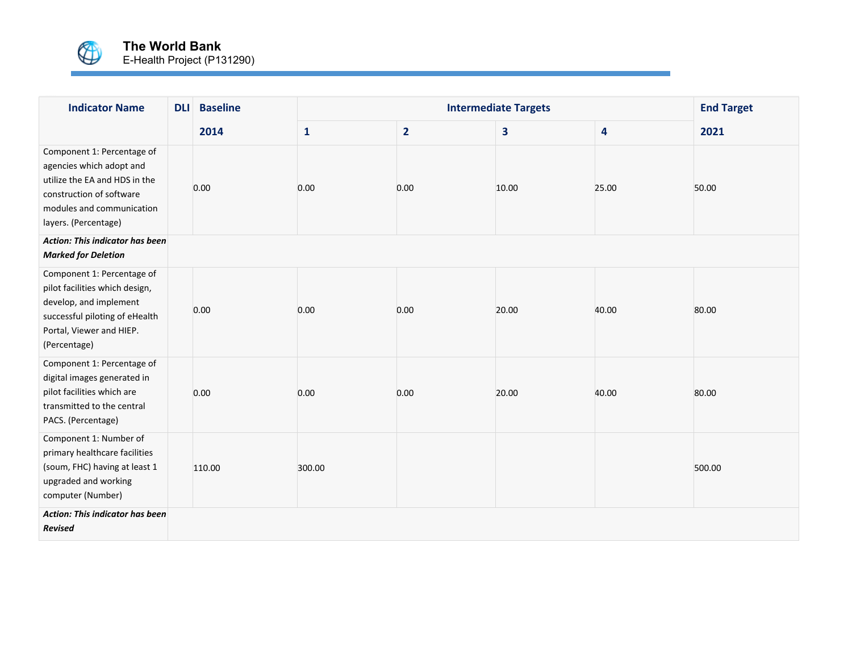

| <b>Indicator Name</b>                                                                                                                                                    | <b>DLI</b> | <b>Baseline</b> |              |                | <b>Intermediate Targets</b> |                         | <b>End Target</b> |
|--------------------------------------------------------------------------------------------------------------------------------------------------------------------------|------------|-----------------|--------------|----------------|-----------------------------|-------------------------|-------------------|
|                                                                                                                                                                          |            | 2014            | $\mathbf{1}$ | $\overline{2}$ | 3                           | $\overline{\mathbf{4}}$ | 2021              |
| Component 1: Percentage of<br>agencies which adopt and<br>utilize the EA and HDS in the<br>construction of software<br>modules and communication<br>layers. (Percentage) |            | 0.00            | 0.00         | 0.00           | 10.00                       | 25.00                   | 50.00             |
| <b>Action: This indicator has been</b><br><b>Marked for Deletion</b>                                                                                                     |            |                 |              |                |                             |                         |                   |
| Component 1: Percentage of<br>pilot facilities which design,<br>develop, and implement<br>successful piloting of eHealth<br>Portal, Viewer and HIEP.<br>(Percentage)     |            | 0.00            | 0.00         | 0.00           | 20.00                       | 40.00                   | 80.00             |
| Component 1: Percentage of<br>digital images generated in<br>pilot facilities which are<br>transmitted to the central<br>PACS. (Percentage)                              |            | 0.00            | 0.00         | 0.00           | 20.00                       | 40.00                   | 80.00             |
| Component 1: Number of<br>primary healthcare facilities<br>(soum, FHC) having at least 1<br>upgraded and working<br>computer (Number)                                    |            | 110.00          | 300.00       |                |                             |                         | 500.00            |
| <b>Action: This indicator has been</b><br><b>Revised</b>                                                                                                                 |            |                 |              |                |                             |                         |                   |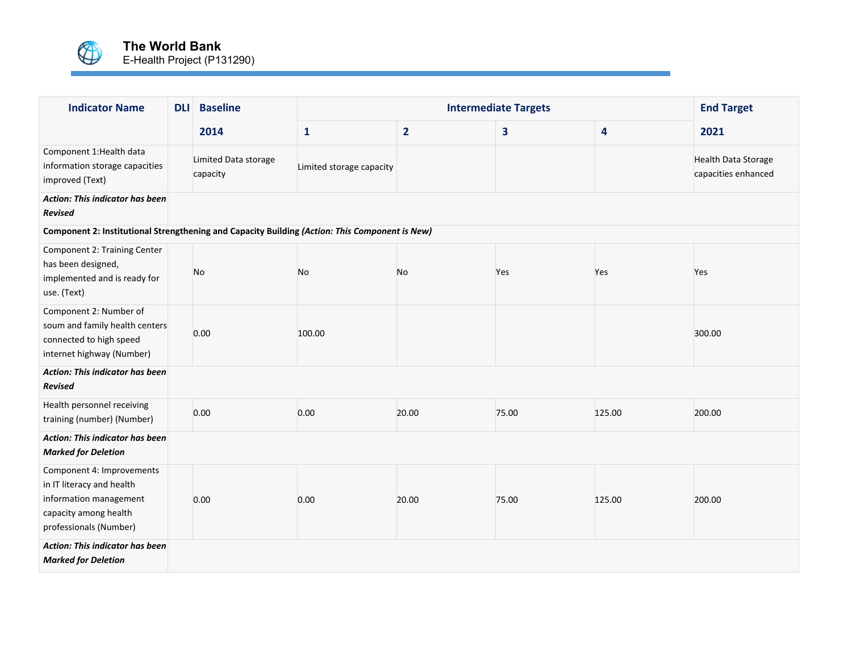

| <b>Indicator Name</b>                                                                                                               | <b>DLI</b> | <b>Baseline</b>                  |                          |                | <b>Intermediate Targets</b> |        | <b>End Target</b>                                 |
|-------------------------------------------------------------------------------------------------------------------------------------|------------|----------------------------------|--------------------------|----------------|-----------------------------|--------|---------------------------------------------------|
|                                                                                                                                     |            | 2014                             | $\mathbf{1}$             | $\overline{2}$ | 3                           | 4      | 2021                                              |
| Component 1: Health data<br>information storage capacities<br>improved (Text)                                                       |            | Limited Data storage<br>capacity | Limited storage capacity |                |                             |        | <b>Health Data Storage</b><br>capacities enhanced |
| <b>Action: This indicator has been</b><br><b>Revised</b>                                                                            |            |                                  |                          |                |                             |        |                                                   |
| Component 2: Institutional Strengthening and Capacity Building (Action: This Component is New)                                      |            |                                  |                          |                |                             |        |                                                   |
| Component 2: Training Center<br>has been designed,<br>implemented and is ready for<br>use. (Text)                                   |            | No                               | No                       | No             | Yes                         | Yes    | Yes                                               |
| Component 2: Number of<br>soum and family health centers<br>connected to high speed<br>internet highway (Number)                    |            | 0.00                             | 100.00                   |                |                             |        | 300.00                                            |
| <b>Action: This indicator has been</b><br><b>Revised</b>                                                                            |            |                                  |                          |                |                             |        |                                                   |
| Health personnel receiving<br>training (number) (Number)                                                                            |            | 0.00                             | 0.00                     | 20.00          | 75.00                       | 125.00 | 200.00                                            |
| <b>Action: This indicator has been</b><br><b>Marked for Deletion</b>                                                                |            |                                  |                          |                |                             |        |                                                   |
| Component 4: Improvements<br>in IT literacy and health<br>information management<br>capacity among health<br>professionals (Number) |            | 0.00                             | 0.00                     | 20.00          | 75.00                       | 125.00 | 200.00                                            |
| Action: This indicator has been<br><b>Marked for Deletion</b>                                                                       |            |                                  |                          |                |                             |        |                                                   |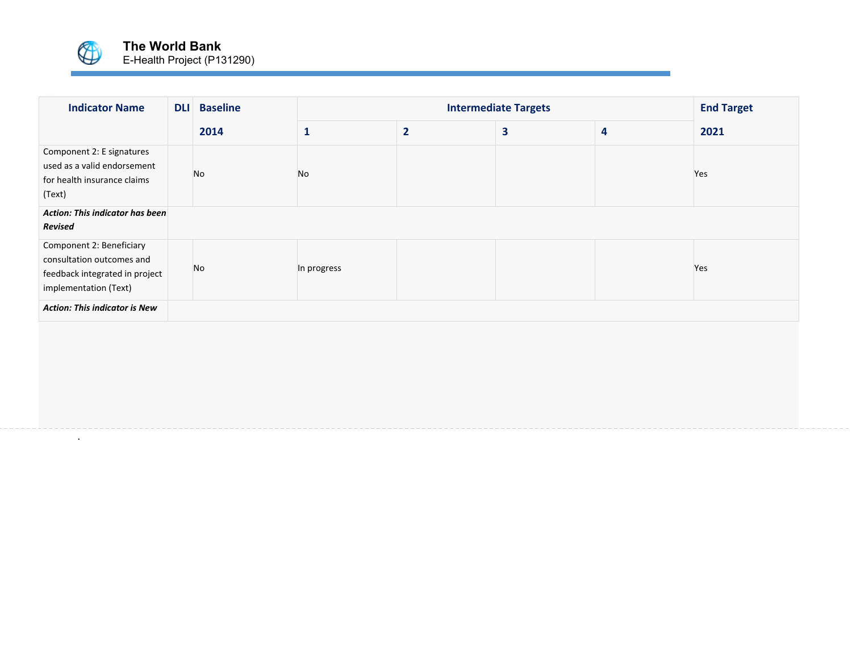

.

| <b>Indicator Name</b>                                                                                                                                         | <b>DLI</b> | <b>Baseline</b> |             | <b>Intermediate Targets</b> |   |                         |      |  |  |
|---------------------------------------------------------------------------------------------------------------------------------------------------------------|------------|-----------------|-------------|-----------------------------|---|-------------------------|------|--|--|
|                                                                                                                                                               |            | 2014            | 1           | $\overline{2}$              | 3 | $\overline{\mathbf{4}}$ | 2021 |  |  |
| Component 2: E signatures<br>used as a valid endorsement<br>for health insurance claims<br>(Text)<br><b>Action: This indicator has been</b><br><b>Revised</b> |            | No              | No          |                             |   |                         | Yes  |  |  |
| Component 2: Beneficiary<br>consultation outcomes and<br>feedback integrated in project<br>implementation (Text)                                              |            | No              | In progress |                             |   |                         | Yes  |  |  |
| <b>Action: This indicator is New</b>                                                                                                                          |            |                 |             |                             |   |                         |      |  |  |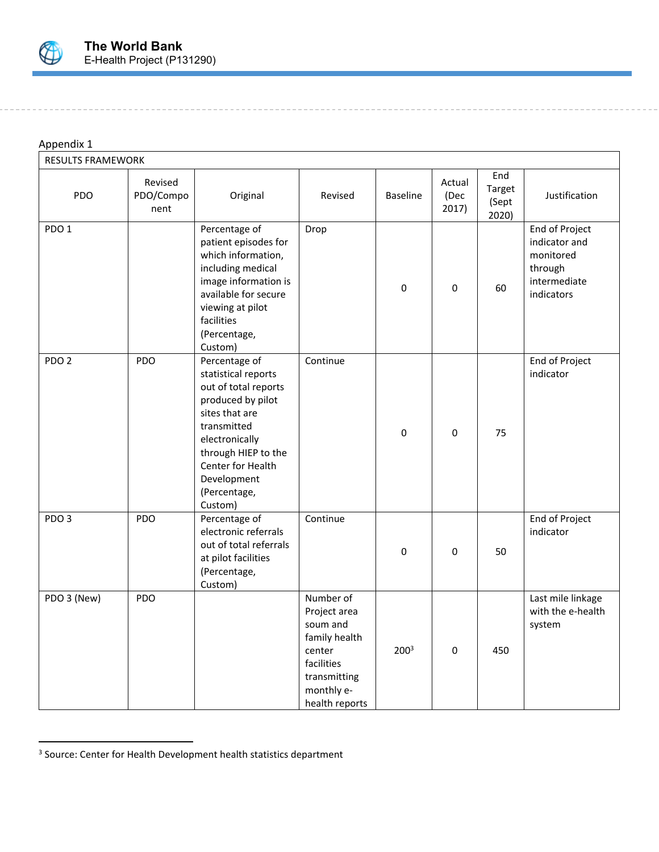

# Appendix 1

| <b>RESULTS FRAMEWORK</b> |                              |                                                                                                                                                                                                                            |                                                                                                                                |                  |                         |                                 |                                                                                       |
|--------------------------|------------------------------|----------------------------------------------------------------------------------------------------------------------------------------------------------------------------------------------------------------------------|--------------------------------------------------------------------------------------------------------------------------------|------------------|-------------------------|---------------------------------|---------------------------------------------------------------------------------------|
| <b>PDO</b>               | Revised<br>PDO/Compo<br>nent | Original                                                                                                                                                                                                                   | Revised                                                                                                                        | <b>Baseline</b>  | Actual<br>(Dec<br>2017) | End<br>Target<br>(Sept<br>2020) | Justification                                                                         |
| PDO <sub>1</sub>         |                              | Percentage of<br>patient episodes for<br>which information,<br>including medical<br>image information is<br>available for secure<br>viewing at pilot<br>facilities<br>(Percentage,<br>Custom)                              | Drop                                                                                                                           | 0                | $\mathbf 0$             | 60                              | End of Project<br>indicator and<br>monitored<br>through<br>intermediate<br>indicators |
| PDO <sub>2</sub>         | <b>PDO</b>                   | Percentage of<br>statistical reports<br>out of total reports<br>produced by pilot<br>sites that are<br>transmitted<br>electronically<br>through HIEP to the<br>Center for Health<br>Development<br>(Percentage,<br>Custom) | Continue                                                                                                                       | $\pmb{0}$        | $\mathbf 0$             | 75                              | End of Project<br>indicator                                                           |
| PDO <sub>3</sub>         | PDO                          | Percentage of<br>electronic referrals<br>out of total referrals<br>at pilot facilities<br>(Percentage,<br>Custom)                                                                                                          | Continue                                                                                                                       | $\mathbf 0$      | $\mathbf 0$             | 50                              | End of Project<br>indicator                                                           |
| PDO 3 (New)              | <b>PDO</b>                   |                                                                                                                                                                                                                            | Number of<br>Project area<br>soum and<br>family health<br>center<br>facilities<br>transmitting<br>monthly e-<br>health reports | 200 <sup>3</sup> | $\mathbf 0$             | 450                             | Last mile linkage<br>with the e-health<br>system                                      |

<sup>&</sup>lt;sup>3</sup> Source: Center for Health Development health statistics department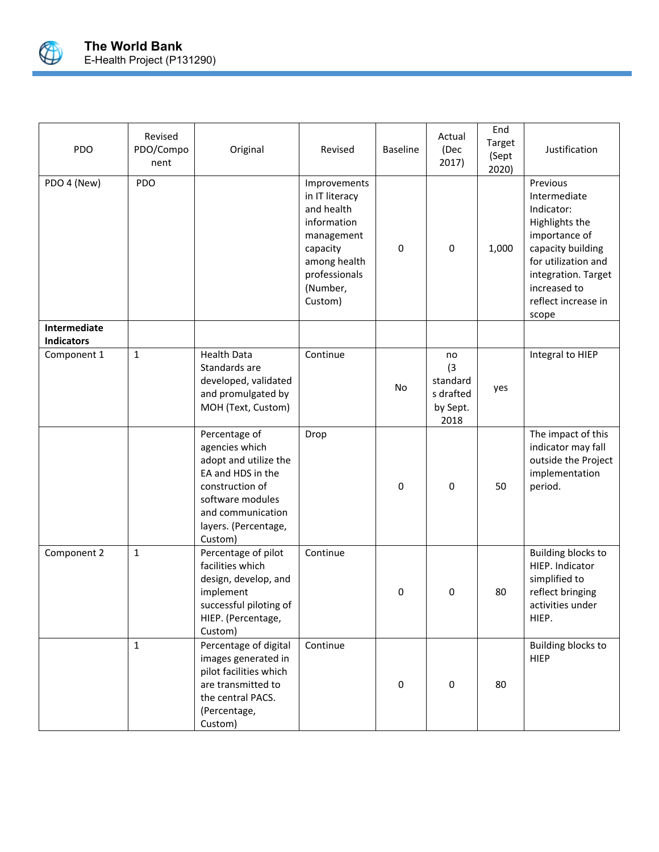

| PDO                               | Revised<br>PDO/Compo<br>nent | Original                                                                                                                                                                     | Revised                                                                                                                                       | <b>Baseline</b> | Actual<br>(Dec<br>2017)                                | End<br>Target<br>(Sept<br>2020) | Justification                                                                                                                                                                                |
|-----------------------------------|------------------------------|------------------------------------------------------------------------------------------------------------------------------------------------------------------------------|-----------------------------------------------------------------------------------------------------------------------------------------------|-----------------|--------------------------------------------------------|---------------------------------|----------------------------------------------------------------------------------------------------------------------------------------------------------------------------------------------|
| PDO 4 (New)                       | PDO                          |                                                                                                                                                                              | Improvements<br>in IT literacy<br>and health<br>information<br>management<br>capacity<br>among health<br>professionals<br>(Number,<br>Custom) | 0               | 0                                                      | 1,000                           | Previous<br>Intermediate<br>Indicator:<br>Highlights the<br>importance of<br>capacity building<br>for utilization and<br>integration. Target<br>increased to<br>reflect increase in<br>scope |
| Intermediate<br><b>Indicators</b> |                              |                                                                                                                                                                              |                                                                                                                                               |                 |                                                        |                                 |                                                                                                                                                                                              |
| Component 1                       | $\mathbf{1}$                 | <b>Health Data</b><br>Standards are<br>developed, validated<br>and promulgated by<br>MOH (Text, Custom)                                                                      | Continue                                                                                                                                      | No              | no<br>(3)<br>standard<br>s drafted<br>by Sept.<br>2018 | yes                             | Integral to HIEP                                                                                                                                                                             |
|                                   |                              | Percentage of<br>agencies which<br>adopt and utilize the<br>EA and HDS in the<br>construction of<br>software modules<br>and communication<br>layers. (Percentage,<br>Custom) | Drop                                                                                                                                          | 0               | $\mathbf 0$                                            | 50                              | The impact of this<br>indicator may fall<br>outside the Project<br>implementation<br>period.                                                                                                 |
| Component 2                       | $\mathbf{1}$                 | Percentage of pilot<br>facilities which<br>design, develop, and<br>implement<br>successful piloting of<br>HIEP. (Percentage,<br>Custom)                                      | Continue                                                                                                                                      | 0               | $\mathbf 0$                                            | 80                              | <b>Building blocks to</b><br>HIEP. Indicator<br>simplified to<br>reflect bringing<br>activities under<br>HIEP.                                                                               |
|                                   | $\mathbf{1}$                 | Percentage of digital<br>images generated in<br>pilot facilities which<br>are transmitted to<br>the central PACS.<br>(Percentage,<br>Custom)                                 | Continue                                                                                                                                      | 0               | 0                                                      | 80                              | <b>Building blocks to</b><br><b>HIEP</b>                                                                                                                                                     |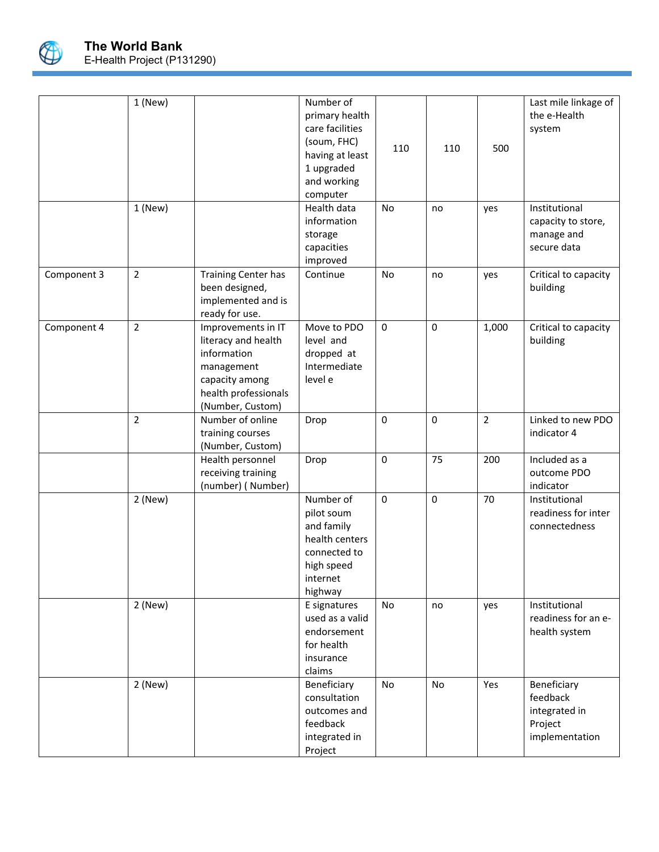

|             | $1$ (New)      |                                                                                                                                      | Number of<br>primary health<br>care facilities<br>(soum, FHC)<br>having at least<br>1 upgraded<br>and working<br>computer | 110          | 110         | 500            | Last mile linkage of<br>the e-Health<br>system                        |
|-------------|----------------|--------------------------------------------------------------------------------------------------------------------------------------|---------------------------------------------------------------------------------------------------------------------------|--------------|-------------|----------------|-----------------------------------------------------------------------|
|             | $1$ (New)      |                                                                                                                                      | Health data<br>information<br>storage<br>capacities<br>improved                                                           | No           | no          | yes            | Institutional<br>capacity to store,<br>manage and<br>secure data      |
| Component 3 | $\overline{2}$ | <b>Training Center has</b><br>been designed,<br>implemented and is<br>ready for use.                                                 | Continue                                                                                                                  | No           | no          | yes            | Critical to capacity<br>building                                      |
| Component 4 | $\overline{2}$ | Improvements in IT<br>literacy and health<br>information<br>management<br>capacity among<br>health professionals<br>(Number, Custom) | Move to PDO<br>level and<br>dropped at<br>Intermediate<br>level e                                                         | $\mathbf 0$  | $\mathbf 0$ | 1,000          | Critical to capacity<br>building                                      |
|             | $\overline{2}$ | Number of online<br>training courses<br>(Number, Custom)                                                                             | Drop                                                                                                                      | $\mathbf{0}$ | $\mathbf 0$ | $\overline{2}$ | Linked to new PDO<br>indicator 4                                      |
|             |                | Health personnel<br>receiving training<br>(number) (Number)                                                                          | Drop                                                                                                                      | $\mathbf 0$  | 75          | 200            | Included as a<br>outcome PDO<br>indicator                             |
|             | 2 (New)        |                                                                                                                                      | Number of<br>pilot soum<br>and family<br>health centers<br>connected to<br>high speed<br>internet<br>highway              | $\mathbf 0$  | $\mathbf 0$ | 70             | Institutional<br>readiness for inter<br>connectedness                 |
|             | $2$ (New)      |                                                                                                                                      | E signatures<br>used as a valid<br>endorsement<br>for health<br>insurance<br>claims                                       | No           | no          | yes            | Institutional<br>readiness for an e-<br>health system                 |
|             | $2$ (New)      |                                                                                                                                      | Beneficiary<br>consultation<br>outcomes and<br>feedback<br>integrated in<br>Project                                       | No           | <b>No</b>   | Yes            | Beneficiary<br>feedback<br>integrated in<br>Project<br>implementation |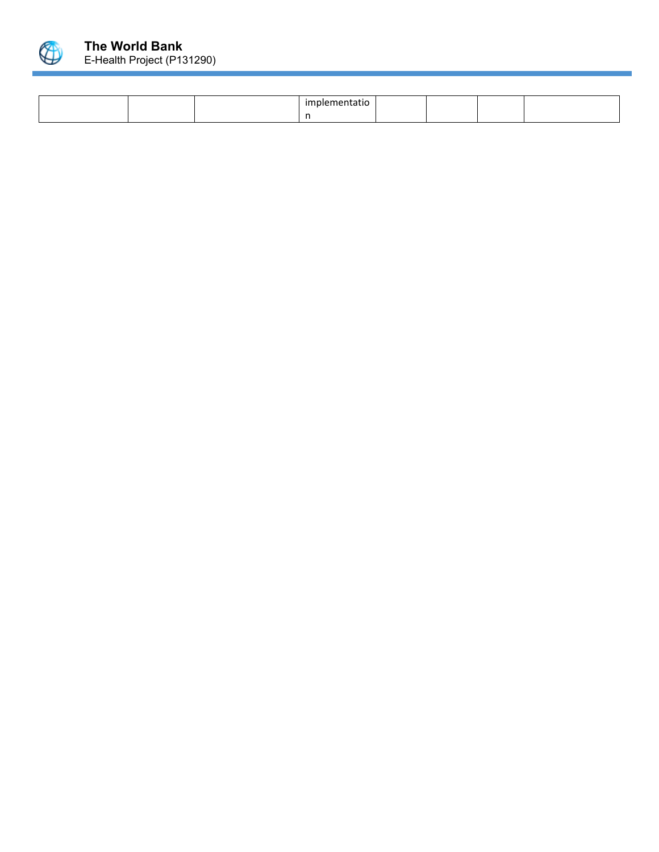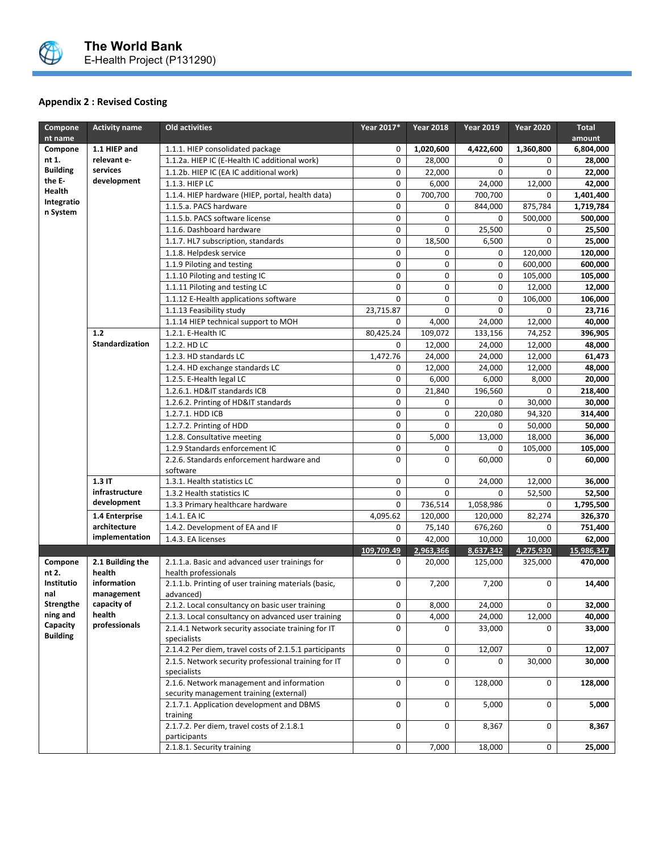

# **Appendix 2 : Revised Costing**

| Compone                                                                                       | <b>Activity name</b>       | Old activities                                                                       | Year 2017*  | <b>Year 2018</b> | <b>Year 2019</b> | <b>Year 2020</b> | <b>Total</b> |
|-----------------------------------------------------------------------------------------------|----------------------------|--------------------------------------------------------------------------------------|-------------|------------------|------------------|------------------|--------------|
| nt name                                                                                       |                            |                                                                                      |             |                  |                  | amount           |              |
| Compone                                                                                       | 1.1 HIEP and               | 1.1.1. HIEP consolidated package                                                     | 0           | 1,020,600        | 4,422,600        | 1,360,800        | 6,804,000    |
| nt 1.                                                                                         | relevant e-                | 1.1.2a. HIEP IC (E-Health IC additional work)                                        | 0           | 28,000           | 0                | 0                | 28,000       |
| <b>Building</b>                                                                               | services                   | 1.1.2b. HIEP IC (EA IC additional work)                                              | 0           | 22,000           | $\mathbf 0$      | 0                | 22,000       |
| the E-<br>Health                                                                              | development                | 1.1.3. HIEP LC                                                                       | 0           | 6,000            | 24,000           | 12,000           | 42,000       |
| Integratio                                                                                    |                            | 1.1.4. HIEP hardware (HIEP, portal, health data)                                     | 0           | 700,700          | 700,700          | 0                | 1,401,400    |
| n System                                                                                      |                            | 1.1.5.a. PACS hardware                                                               | 0           | 0                | 844,000          | 875,784          | 1,719,784    |
|                                                                                               |                            | 1.1.5.b. PACS software license                                                       | 0           | 0                | 0                | 500,000          | 500,000      |
|                                                                                               |                            | 1.1.6. Dashboard hardware                                                            | 0           | 0                | 25,500           | 0                | 25,500       |
|                                                                                               |                            | 1.1.7. HL7 subscription, standards                                                   | 0           | 18,500           | 6,500            | 0                | 25,000       |
|                                                                                               |                            | 1.1.8. Helpdesk service                                                              | 0           | 0                | 0                | 120,000          | 120,000      |
|                                                                                               |                            | 1.1.9 Piloting and testing                                                           | 0           | 0                | 0                | 600,000          | 600,000      |
|                                                                                               |                            | 1.1.10 Piloting and testing IC                                                       | 0           | 0                | 0                | 105,000          | 105,000      |
|                                                                                               |                            | 1.1.11 Piloting and testing LC                                                       | 0           | 0                | $\mathbf 0$      | 12,000           | 12,000       |
|                                                                                               |                            | 1.1.12 E-Health applications software                                                | $\mathbf 0$ | 0                | 0                | 106,000          | 106,000      |
|                                                                                               |                            | 1.1.13 Feasibility study                                                             | 23,715.87   | 0                | 0                | 0                | 23,716       |
|                                                                                               |                            | 1.1.14 HIEP technical support to MOH                                                 | 0           | 4,000            | 24,000           | 12,000           | 40,000       |
|                                                                                               | 1.2                        | 1.2.1. E-Health IC                                                                   | 80,425.24   | 109,072          | 133,156          | 74,252           | 396,905      |
|                                                                                               | Standardization            | 1.2.2. HD LC                                                                         | 0           | 12,000           | 24,000           | 12,000           | 48,000       |
|                                                                                               |                            | 1.2.3. HD standards LC                                                               | 1,472.76    | 24,000           | 24,000           | 12,000           | 61,473       |
|                                                                                               |                            | 1.2.4. HD exchange standards LC                                                      | 0           | 12,000           | 24,000           | 12,000           | 48,000       |
|                                                                                               |                            | 1.2.5. E-Health legal LC                                                             | 0           | 6,000            | 6,000            | 8,000            | 20,000       |
|                                                                                               |                            | 1.2.6.1. HD&IT standards ICB                                                         | $\mathbf 0$ | 21.840           | 196,560          | 0                | 218,400      |
| $1.3$ IT<br>infrastructure<br>development<br>1.4 Enterprise<br>architecture<br>implementation |                            | 1.2.6.2. Printing of HD&IT standards                                                 | 0           | 0                | 0                | 30,000           | 30,000       |
|                                                                                               |                            | 1.2.7.1. HDD ICB                                                                     | 0           | 0                | 220,080          | 94,320           | 314,400      |
|                                                                                               |                            | 1.2.7.2. Printing of HDD                                                             | 0           | 0                | 0                | 50,000           | 50,000       |
|                                                                                               |                            | 1.2.8. Consultative meeting                                                          | 0           | 5,000            | 13,000           | 18,000           | 36,000       |
|                                                                                               |                            | 1.2.9 Standards enforcement IC                                                       | 0           | 0                | 0                | 105,000          | 105,000      |
|                                                                                               |                            | 2.2.6. Standards enforcement hardware and<br>software                                | 0           | 0                | 60,000           | 0                | 60,000       |
|                                                                                               |                            | 1.3.1. Health statistics LC                                                          | 0           | 0                | 24,000           | 12,000           | 36,000       |
|                                                                                               |                            | 1.3.2 Health statistics IC                                                           | 0           | 0                | 0                | 52,500           | 52,500       |
|                                                                                               |                            | 1.3.3 Primary healthcare hardware                                                    | 0           | 736,514          | 1,058,986        | 0                | 1,795,500    |
|                                                                                               |                            | 1.4.1. EA IC                                                                         | 4,095.62    | 120,000          | 120,000          | 82,274           | 326,370      |
|                                                                                               |                            | 1.4.2. Development of EA and IF                                                      | 0           | 75,140           | 676,260          | 0                | 751,400      |
|                                                                                               |                            | 1.4.3. EA licenses                                                                   | 0           | 42,000           | 10,000           | 10,000           | 62,000       |
|                                                                                               |                            |                                                                                      | 109,709.49  | 2,963,366        | 8,637,342        | 4,275,930        | 15,986,347   |
| Compone<br>nt 2.                                                                              | 2.1 Building the<br>health | 2.1.1.a. Basic and advanced user trainings for<br>health professionals               | 0           | 20,000           | 125,000          | 325,000          | 470,000      |
| Institutio<br>nal                                                                             | information<br>management  | 2.1.1.b. Printing of user training materials (basic,<br>advanced)                    | 0           | 7,200            | 7,200            | 0                | 14,400       |
| Strengthe                                                                                     | capacity of                | 2.1.2. Local consultancy on basic user training                                      | 0           | 8,000            | 24,000           | 0                | 32,000       |
| ning and                                                                                      | health                     | 2.1.3. Local consultancy on advanced user training                                   | 0           | 4,000            | 24,000           | 12,000           | 40,000       |
| Capacity<br><b>Building</b>                                                                   | professionals              | 2.1.4.1 Network security associate training for IT<br>specialists                    | 0           | 0                | 33,000           | 0                | 33,000       |
|                                                                                               |                            | 2.1.4.2 Per diem, travel costs of 2.1.5.1 participants                               | 0           | 0                | 12,007           | 0                | 12,007       |
|                                                                                               |                            | 2.1.5. Network security professional training for IT<br>specialists                  | 0           | $\mathbf 0$      | 0                | 30,000           | 30,000       |
|                                                                                               |                            | 2.1.6. Network management and information<br>security management training (external) | 0           | 0                | 128,000          | 0                | 128,000      |
|                                                                                               |                            | 2.1.7.1. Application development and DBMS<br>training                                | 0           | 0                | 5,000            | 0                | 5,000        |
|                                                                                               |                            | 2.1.7.2. Per diem, travel costs of 2.1.8.1<br>participants                           | 0           | 0                | 8,367            | 0                | 8,367        |
|                                                                                               |                            | 2.1.8.1. Security training                                                           | 0           | 7,000            | 18,000           | 0                | 25,000       |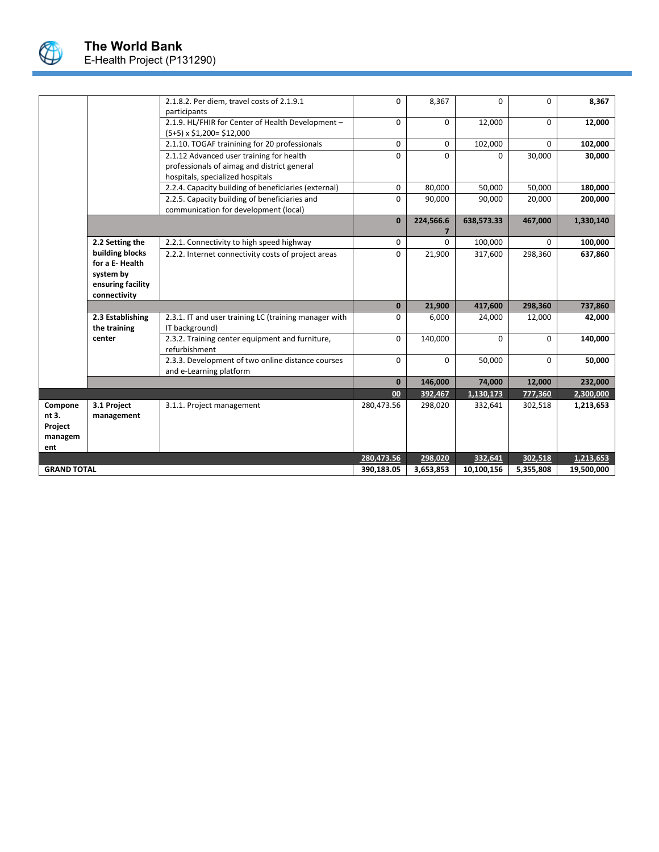

|                                               |                                                | 2.1.8.2. Per diem, travel costs of 2.1.9.1<br>participants                                                                  | 0            | 8,367       | $\Omega$   | $\Omega$ | 8,367     |
|-----------------------------------------------|------------------------------------------------|-----------------------------------------------------------------------------------------------------------------------------|--------------|-------------|------------|----------|-----------|
|                                               |                                                | 2.1.9. HL/FHIR for Center of Health Development -<br>$(5+5) \times $1,200 = $12,000$                                        | 0            | $\mathbf 0$ | 12,000     | 0        | 12,000    |
|                                               |                                                | 2.1.10. TOGAF trainining for 20 professionals                                                                               | 0            | 0           | 102,000    | 0        | 102,000   |
|                                               |                                                | 2.1.12 Advanced user training for health<br>professionals of aimag and district general<br>hospitals, specialized hospitals | $\Omega$     | $\Omega$    | $\Omega$   | 30,000   | 30,000    |
|                                               |                                                | 2.2.4. Capacity building of beneficiaries (external)                                                                        | 0            | 80,000      | 50,000     | 50,000   | 180,000   |
|                                               |                                                | 2.2.5. Capacity building of beneficiaries and<br>communication for development (local)                                      | 0            | 90,000      | 90,000     | 20,000   | 200,000   |
|                                               |                                                |                                                                                                                             | $\bf{0}$     | 224,566.6   | 638,573.33 | 467,000  | 1,330,140 |
|                                               | 2.2 Setting the                                | 2.2.1. Connectivity to high speed highway                                                                                   | 0            | $\Omega$    | 100,000    | 0        | 100,000   |
|                                               | building blocks<br>for a E-Health<br>system by | 2.2.2. Internet connectivity costs of project areas                                                                         | $\Omega$     | 21,900      | 317,600    | 298,360  | 637,860   |
|                                               | ensuring facility                              |                                                                                                                             |              |             |            |          |           |
|                                               | connectivity                                   |                                                                                                                             | $\mathbf{0}$ | 21,900      | 417,600    | 298,360  | 737,860   |
|                                               | 2.3 Establishing<br>the training               | 2.3.1. IT and user training LC (training manager with<br>IT background)                                                     | 0            | 6,000       | 24,000     | 12,000   | 42,000    |
|                                               | center                                         | 2.3.2. Training center equipment and furniture,<br>refurbishment                                                            | 0            | 140,000     | $\Omega$   | $\Omega$ | 140,000   |
|                                               |                                                | 2.3.3. Development of two online distance courses<br>and e-Learning platform                                                | $\Omega$     | $\Omega$    | 50,000     | $\Omega$ | 50,000    |
|                                               |                                                |                                                                                                                             | $\mathbf{0}$ | 146,000     | 74,000     | 12,000   | 232,000   |
|                                               |                                                |                                                                                                                             | 00           | 392,467     | 1,130,173  | 777,360  | 2,300,000 |
| Compone<br>nt 3.<br>Project<br>managem<br>ent | 3.1 Project<br>management                      | 3.1.1. Project management                                                                                                   | 280,473.56   | 298,020     | 332,641    | 302,518  | 1,213,653 |
|                                               |                                                |                                                                                                                             | 280,473.56   | 298,020     | 332,641    | 302,518  | 1,213,653 |